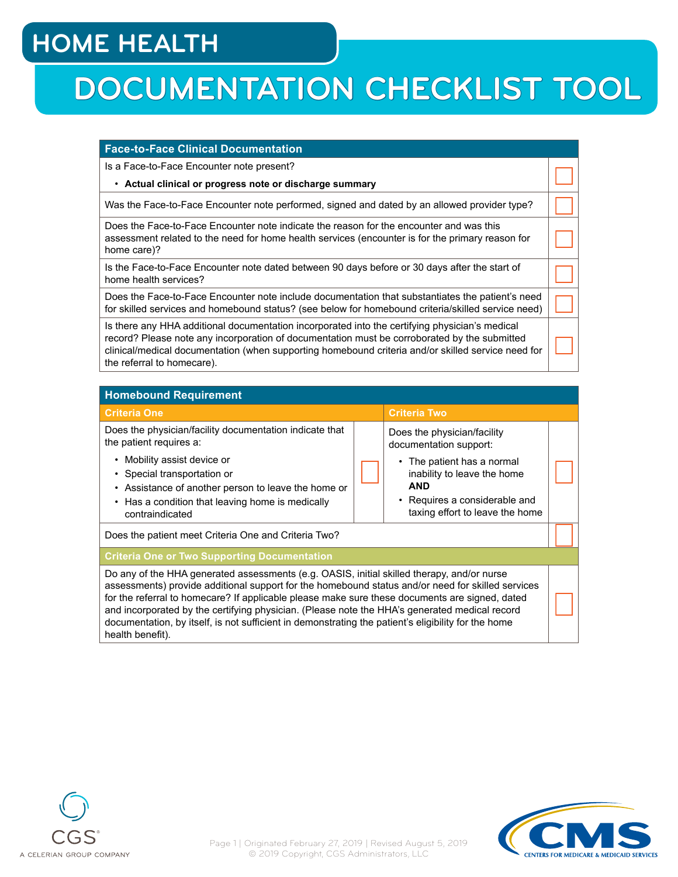## **HOME HEALTH**

# **DOCUMENTATION CHECKLIST TOOL**

#### **Face-to-Face Clinical Documentation**

Is a Face-to-Face Encounter note present?

#### • **Actual clinical or progress note or discharge summary**

| Was the Face-to-Face Encounter note performed, signed and dated by an allowed provider type? |  |
|----------------------------------------------------------------------------------------------|--|
|                                                                                              |  |
|                                                                                              |  |

Does the Face-to-Face Encounter note indicate the reason for the encounter and was this assessment related to the need for home health services (encounter is for the primary reason for home care)?

Is the Face-to-Face Encounter note dated between 90 days before or 30 days after the start of home health services?

Does the Face-to-Face Encounter note include documentation that substantiates the patient's need for skilled services and homebound status? (see below for homebound criteria/skilled service need)

Is there any HHA additional documentation incorporated into the certifying physician's medical record? Please note any incorporation of documentation must be corroborated by the submitted clinical/medical documentation (when supporting homebound criteria and/or skilled service need for the referral to homecare).

| <b>Homebound Requirement</b>                                                                                                                                                                                                                                                                                                                                                                                                                                                                              |  |                                                                         |  |  |  |
|-----------------------------------------------------------------------------------------------------------------------------------------------------------------------------------------------------------------------------------------------------------------------------------------------------------------------------------------------------------------------------------------------------------------------------------------------------------------------------------------------------------|--|-------------------------------------------------------------------------|--|--|--|
| <b>Criteria One</b>                                                                                                                                                                                                                                                                                                                                                                                                                                                                                       |  | <b>Criteria Two</b>                                                     |  |  |  |
| Does the physician/facility documentation indicate that<br>the patient requires a:                                                                                                                                                                                                                                                                                                                                                                                                                        |  | Does the physician/facility<br>documentation support:                   |  |  |  |
| • Mobility assist device or<br>• Special transportation or<br>• Assistance of another person to leave the home or                                                                                                                                                                                                                                                                                                                                                                                         |  | • The patient has a normal<br>inability to leave the home<br><b>AND</b> |  |  |  |
| • Has a condition that leaving home is medically<br>contraindicated                                                                                                                                                                                                                                                                                                                                                                                                                                       |  | • Requires a considerable and<br>taxing effort to leave the home        |  |  |  |
| Does the patient meet Criteria One and Criteria Two?                                                                                                                                                                                                                                                                                                                                                                                                                                                      |  |                                                                         |  |  |  |
| <b>Criteria One or Two Supporting Documentation</b>                                                                                                                                                                                                                                                                                                                                                                                                                                                       |  |                                                                         |  |  |  |
| Do any of the HHA generated assessments (e.g. OASIS, initial skilled therapy, and/or nurse<br>assessments) provide additional support for the homebound status and/or need for skilled services<br>for the referral to homecare? If applicable please make sure these documents are signed, dated<br>and incorporated by the certifying physician. (Please note the HHA's generated medical record<br>documentation, by itself, is not sufficient in demonstrating the patient's eligibility for the home |  |                                                                         |  |  |  |





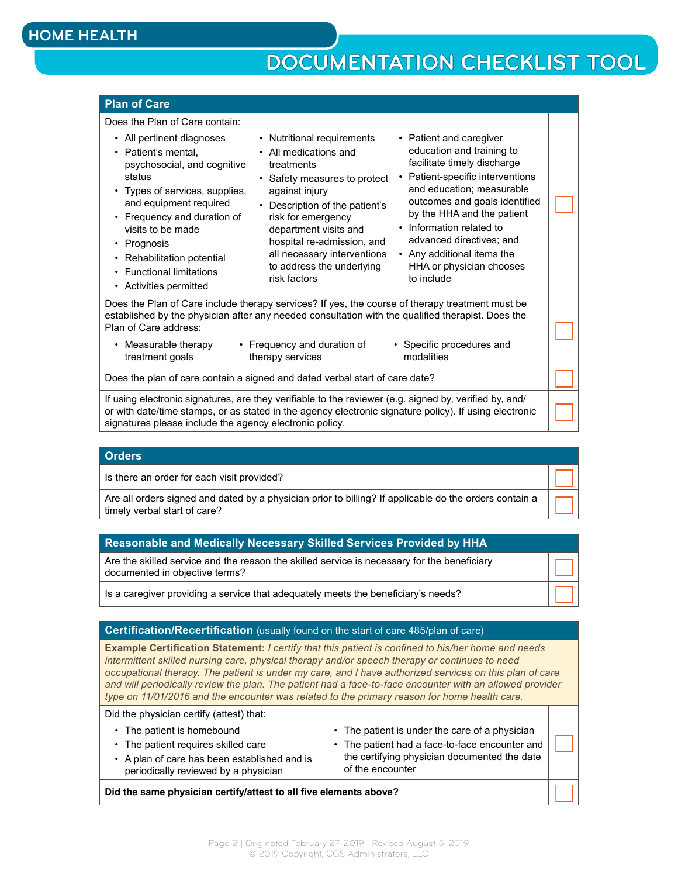### **DOCUMENTATION CHECKLIST TOOL**

• Patient and caregiver education and training to facilitate timely discharge • Patient-specific interventions and education; measurable outcomes and goals identified by the HHA and the patient

• Information related to advanced directives; and • Any additional items the HHA or physician chooses

#### **Plan of Care**

#### Does the Plan of Care contain:

- All pertinent diagnoses • Patient's mental, psychosocial, and cognitive status
- Types of services, supplies, and equipment required
- Frequency and duration of visits to be made
- Prognosis
- Rehabilitation potential
- Functional limitations
- 

• Activities permitted risk factors to include Does the Plan of Care include therapy services? If yes, the course of therapy treatment must be established by the physician after any needed consultation with the qualified therapist. Does the

• Nutritional requirements • All medications and treatments

• Safety measures to protect

• Description of the patient's risk for emergency department visits and hospital re-admission, and all necessary interventions to address the underlying

against injury

Plan of Care address:

• Measurable therapy treatment goals • Frequency and duration of therapy services • Specific procedures and modalities

Does the plan of care contain a signed and dated verbal start of care date?

If using electronic signatures, are they verifiable to the reviewer (e.g. signed by, verified by, and/ or with date/time stamps, or as stated in the agency electronic signature policy). If using electronic signatures please include the agency electronic policy.

#### **Orders**

Is there an order for each visit provided?

Are all orders signed and dated by a physician prior to billing? If applicable do the orders contain a timely verbal start of care?

#### **Reasonable and Medically Necessary Skilled Services Provided by HHA**

Are the skilled service and the reason the skilled service is necessary for the beneficiary documented in objective terms?

Is a caregiver providing a service that adequately meets the beneficiary's needs?

#### **Certification/Recertification** (usually found on the start of care 485/plan of care)

**Example Certification Statement:** *I certify that this patient is confined to his/her home and needs intermittent skilled nursing care, physical therapy and/or speech therapy or continues to need occupational therapy. The patient is under my care, and I have authorized services on this plan of care*  and will periodically review the plan. The patient had a face-to-face encounter with an allowed provider *type on 11/01/2016 and the encounter was related to the primary reason for home health care.*

Did the physician certify (attest) that:

- The patient is homebound
- The patient requires skilled care
- A plan of care has been established and is periodically reviewed by a physician
- The patient is under the care of a physician
- The patient had a face-to-face encounter and the certifying physician documented the date of the encounter

**Did the same physician certify/attest to all five elements above?**